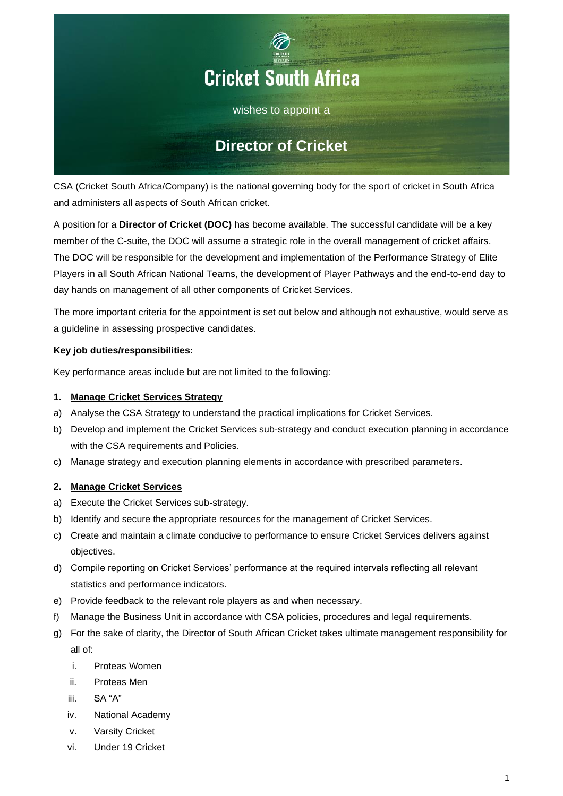

CSA (Cricket South Africa/Company) is the national governing body for the sport of cricket in South Africa and administers all aspects of South African cricket.

A position for a **Director of Cricket (DOC)** has become available. The successful candidate will be a key member of the C-suite, the DOC will assume a strategic role in the overall management of cricket affairs. The DOC will be responsible for the development and implementation of the Performance Strategy of Elite Players in all South African National Teams, the development of Player Pathways and the end-to-end day to day hands on management of all other components of Cricket Services.

The more important criteria for the appointment is set out below and although not exhaustive, would serve as a guideline in assessing prospective candidates.

# **Key job duties/responsibilities:**

Key performance areas include but are not limited to the following:

# **1. Manage Cricket Services Strategy**

- a) Analyse the CSA Strategy to understand the practical implications for Cricket Services.
- b) Develop and implement the Cricket Services sub-strategy and conduct execution planning in accordance with the CSA requirements and Policies.
- c) Manage strategy and execution planning elements in accordance with prescribed parameters.

## **2. Manage Cricket Services**

- a) Execute the Cricket Services sub-strategy.
- b) Identify and secure the appropriate resources for the management of Cricket Services.
- c) Create and maintain a climate conducive to performance to ensure Cricket Services delivers against objectives.
- d) Compile reporting on Cricket Services' performance at the required intervals reflecting all relevant statistics and performance indicators.
- e) Provide feedback to the relevant role players as and when necessary.
- f) Manage the Business Unit in accordance with CSA policies, procedures and legal requirements.
- g) For the sake of clarity, the Director of South African Cricket takes ultimate management responsibility for all of:
	- i. Proteas Women
	- ii. Proteas Men
	- iii. SA "A"
	- iv. National Academy
	- v. Varsity Cricket
	- vi. Under 19 Cricket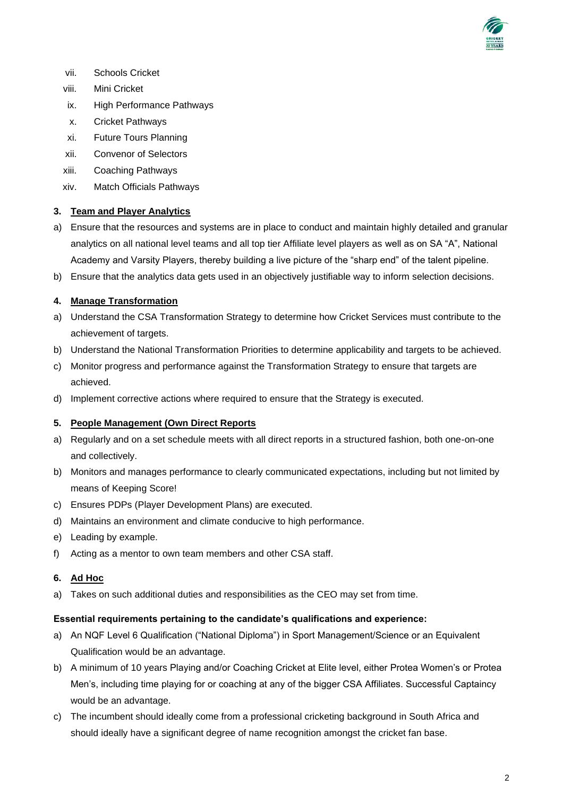

- vii. Schools Cricket
- viii. Mini Cricket
- ix. High Performance Pathways
- x. Cricket Pathways
- xi. Future Tours Planning
- xii. Convenor of Selectors
- xiii. Coaching Pathways
- xiv. Match Officials Pathways

# **3. Team and Player Analytics**

- a) Ensure that the resources and systems are in place to conduct and maintain highly detailed and granular analytics on all national level teams and all top tier Affiliate level players as well as on SA "A", National Academy and Varsity Players, thereby building a live picture of the "sharp end" of the talent pipeline.
- b) Ensure that the analytics data gets used in an objectively justifiable way to inform selection decisions.

# **4. Manage Transformation**

- a) Understand the CSA Transformation Strategy to determine how Cricket Services must contribute to the achievement of targets.
- b) Understand the National Transformation Priorities to determine applicability and targets to be achieved.
- c) Monitor progress and performance against the Transformation Strategy to ensure that targets are achieved.
- d) Implement corrective actions where required to ensure that the Strategy is executed.

## **5. People Management (Own Direct Reports**

- a) Regularly and on a set schedule meets with all direct reports in a structured fashion, both one-on-one and collectively.
- b) Monitors and manages performance to clearly communicated expectations, including but not limited by means of Keeping Score!
- c) Ensures PDPs (Player Development Plans) are executed.
- d) Maintains an environment and climate conducive to high performance.
- e) Leading by example.
- f) Acting as a mentor to own team members and other CSA staff.

## **6. Ad Hoc**

a) Takes on such additional duties and responsibilities as the CEO may set from time.

## **Essential requirements pertaining to the candidate's qualifications and experience:**

- a) An NQF Level 6 Qualification ("National Diploma") in Sport Management/Science or an Equivalent Qualification would be an advantage.
- b) A minimum of 10 years Playing and/or Coaching Cricket at Elite level, either Protea Women's or Protea Men's, including time playing for or coaching at any of the bigger CSA Affiliates. Successful Captaincy would be an advantage.
- c) The incumbent should ideally come from a professional cricketing background in South Africa and should ideally have a significant degree of name recognition amongst the cricket fan base.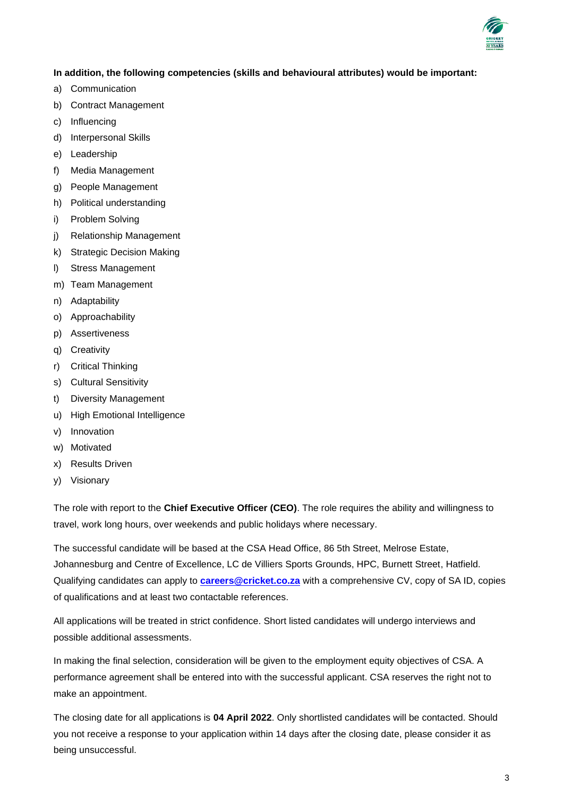

# **In addition, the following competencies (skills and behavioural attributes) would be important:**

- a) Communication
- b) Contract Management
- c) Influencing
- d) Interpersonal Skills
- e) Leadership
- f) Media Management
- g) People Management
- h) Political understanding
- i) Problem Solving
- j) Relationship Management
- k) Strategic Decision Making
- l) Stress Management
- m) Team Management
- n) Adaptability
- o) Approachability
- p) Assertiveness
- q) Creativity
- r) Critical Thinking
- s) Cultural Sensitivity
- t) Diversity Management
- u) High Emotional Intelligence
- v) Innovation
- w) Motivated
- x) Results Driven
- y) Visionary

The role with report to the **Chief Executive Officer (CEO)**. The role requires the ability and willingness to travel, work long hours, over weekends and public holidays where necessary.

The successful candidate will be based at the CSA Head Office, 86 5th Street, Melrose Estate, Johannesburg and Centre of Excellence, LC de Villiers Sports Grounds, HPC, Burnett Street, Hatfield. Qualifying candidates can apply to **[careers@cricket.co.za](mailto:careers@cricket.co.za)** with a comprehensive CV, copy of SA ID, copies of qualifications and at least two contactable references.

All applications will be treated in strict confidence. Short listed candidates will undergo interviews and possible additional assessments.

In making the final selection, consideration will be given to the employment equity objectives of CSA. A performance agreement shall be entered into with the successful applicant. CSA reserves the right not to make an appointment.

The closing date for all applications is **04 April 2022**. Only shortlisted candidates will be contacted. Should you not receive a response to your application within 14 days after the closing date, please consider it as being unsuccessful.